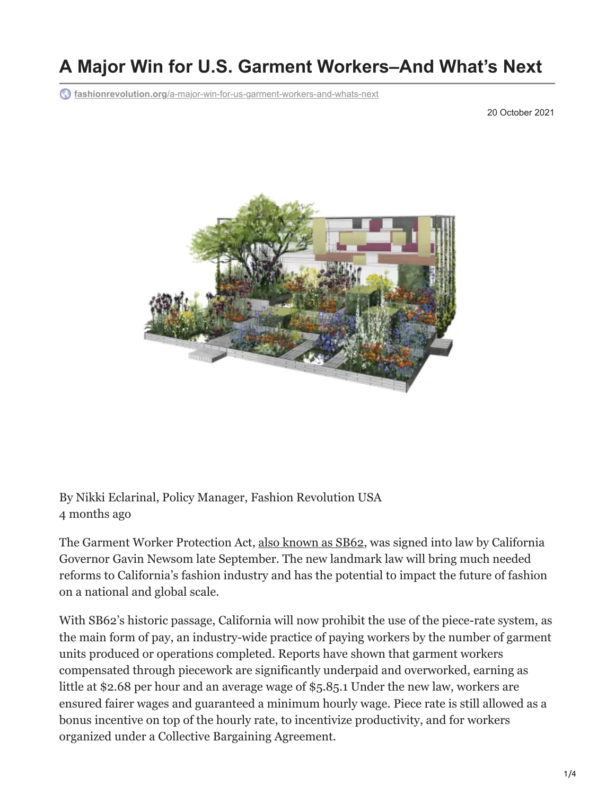## **A Major Win for U.S. Garment Workers–And What's Next**

**fashionrevolution.org**[/a-major-win-for-us-garment-workers-and-whats-next](https://www.fashionrevolution.org/a-major-win-for-us-garment-workers-and-whats-next/)

20 October 2021



By Nikki Eclarinal, Policy Manager, Fashion Revolution USA 4 months ago

The Garment Worker Protection Act, [also known as SB62](https://www.fashionrevolution.org/advocating-for-californias-garment-workers/), was signed into law by California Governor Gavin Newsom late September. The new landmark law will bring much needed reforms to California's fashion industry and has the potential to impact the future of fashion on a national and global scale.

With SB62's historic passage, California will now prohibit the use of the piece-rate system, as the main form of pay, an industry-wide practice of paying workers by the number of garment units produced or operations completed. Reports have shown that garment workers compensated through piecework are significantly underpaid and overworked, earning as little at \$2.68 per hour and an average wage of \$5.85.1 Under the new law, workers are ensured fairer wages and guaranteed a minimum hourly wage. Piece rate is still allowed as a bonus incentive on top of the hourly rate, to incentivize productivity, and for workers organized under a Collective Bargaining Agreement.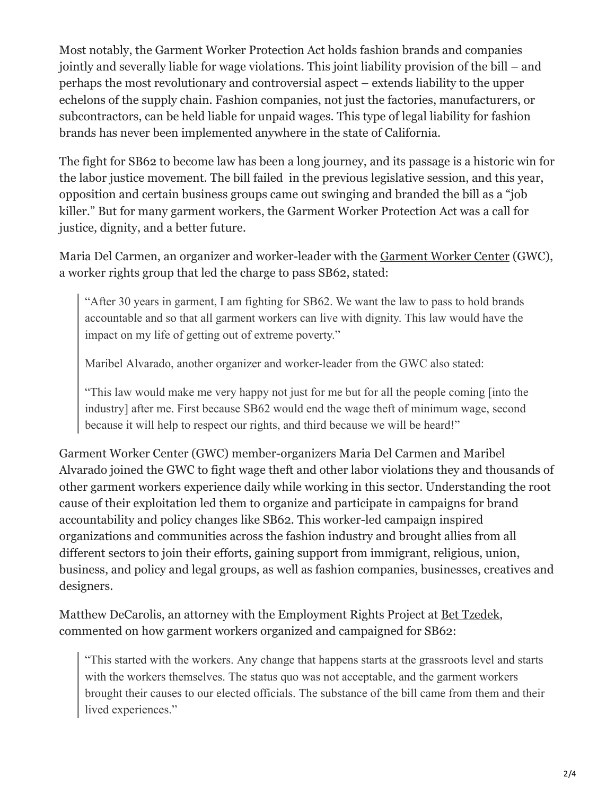Most notably, the Garment Worker Protection Act holds fashion brands and companies jointly and severally liable for wage violations. This joint liability provision of the bill – and perhaps the most revolutionary and controversial aspect – extends liability to the upper echelons of the supply chain. Fashion companies, not just the factories, manufacturers, or subcontractors, can be held liable for unpaid wages. This type of legal liability for fashion brands has never been implemented anywhere in the state of California.

The fight for SB62 to become law has been a long journey, and its passage is a historic win for the labor justice movement. The bill failed in the previous legislative session, and this year, opposition and certain business groups came out swinging and branded the bill as a "job killer." But for many garment workers, the Garment Worker Protection Act was a call for justice, dignity, and a better future.

Maria Del Carmen, an organizer and worker-leader with the [Garment Worker Center](https://garmentworkercenter.org/) (GWC), a worker rights group that led the charge to pass SB62, stated:

"After 30 years in garment, I am fighting for SB62. We want the law to pass to hold brands accountable and so that all garment workers can live with dignity. This law would have the impact on my life of getting out of extreme poverty."

Maribel Alvarado, another organizer and worker-leader from the GWC also stated:

"This law would make me very happy not just for me but for all the people coming [into the industry] after me. First because SB62 would end the wage theft of minimum wage, second because it will help to respect our rights, and third because we will be heard!"

Garment Worker Center (GWC) member-organizers Maria Del Carmen and Maribel Alvarado joined the GWC to fight wage theft and other labor violations they and thousands of other garment workers experience daily while working in this sector. Understanding the root cause of their exploitation led them to organize and participate in campaigns for brand accountability and policy changes like SB62. This worker-led campaign inspired organizations and communities across the fashion industry and brought allies from all different sectors to join their efforts, gaining support from immigrant, religious, union, business, and policy and legal groups, as well as fashion companies, businesses, creatives and designers.

Matthew DeCarolis, an attorney with the Employment Rights Project at [Bet Tzedek](https://www.bettzedek.org/), commented on how garment workers organized and campaigned for SB62:

"This started with the workers. Any change that happens starts at the grassroots level and starts with the workers themselves. The status quo was not acceptable, and the garment workers brought their causes to our elected officials. The substance of the bill came from them and their lived experiences."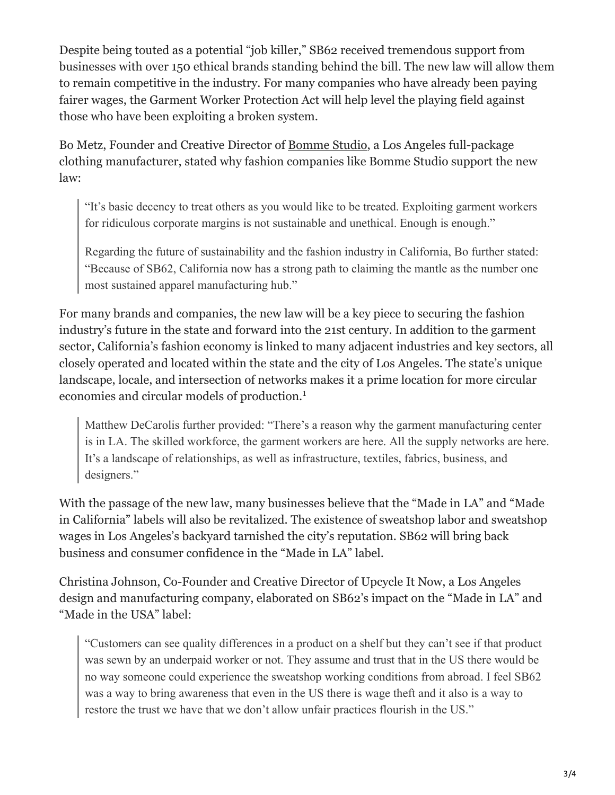Despite being touted as a potential "job killer," SB62 received tremendous support from businesses with over 150 ethical brands standing behind the bill. The new law will allow them to remain competitive in the industry. For many companies who have already been paying fairer wages, the Garment Worker Protection Act will help level the playing field against those who have been exploiting a broken system.

Bo Metz, Founder and Creative Director of [Bomme Studio,](https://www.bommestudio.com/) a Los Angeles full-package clothing manufacturer, stated why fashion companies like Bomme Studio support the new law:

"It's basic decency to treat others as you would like to be treated. Exploiting garment workers for ridiculous corporate margins is not sustainable and unethical. Enough is enough."

Regarding the future of sustainability and the fashion industry in California, Bo further stated: "Because of SB62, California now has a strong path to claiming the mantle as the number one most sustained apparel manufacturing hub."

For many brands and companies, the new law will be a key piece to securing the fashion industry's future in the state and forward into the 21st century. In addition to the garment sector, California's fashion economy is linked to many adjacent industries and key sectors, all closely operated and located within the state and the city of Los Angeles. The state's unique landscape, locale, and intersection of networks makes it a prime location for more circular economies and circular models of production. 1

Matthew DeCarolis further provided: "There's a reason why the garment manufacturing center is in LA. The skilled workforce, the garment workers are here. All the supply networks are here. It's a landscape of relationships, as well as infrastructure, textiles, fabrics, business, and designers."

With the passage of the new law, many businesses believe that the "Made in LA" and "Made in California" labels will also be revitalized. The existence of sweatshop labor and sweatshop wages in Los Angeles's backyard tarnished the city's reputation. SB62 will bring back business and consumer confidence in the "Made in LA" label.

Christina Johnson, Co-Founder and Creative Director of Upcycle It Now, a Los Angeles design and manufacturing company, elaborated on SB62's impact on the "Made in LA" and "Made in the USA" label:

"Customers can see quality differences in a product on a shelf but they can't see if that product was sewn by an underpaid worker or not. They assume and trust that in the US there would be no way someone could experience the sweatshop working conditions from abroad. I feel SB62 was a way to bring awareness that even in the US there is wage theft and it also is a way to restore the trust we have that we don't allow unfair practices flourish in the US."